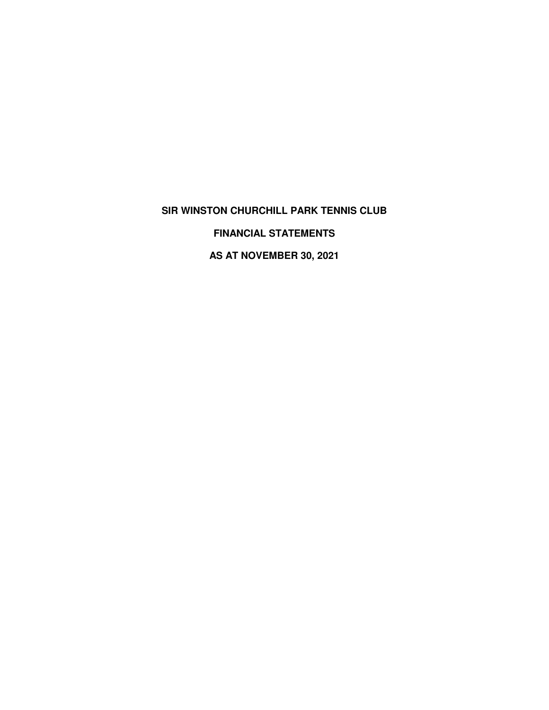# **SIR WINSTON CHURCHILL PARK TENNIS CLUB**

**FINANCIAL STATEMENTS**

**AS AT NOVEMBER 30, 2021**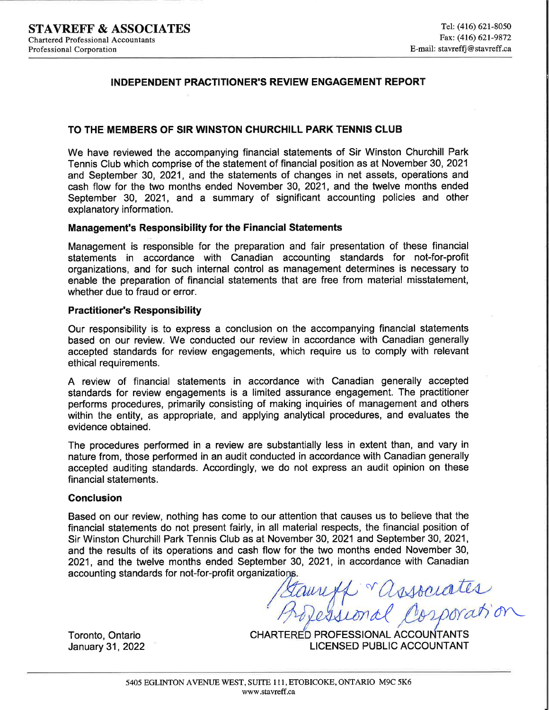## **INDEPENDENT PRACTITIONER'S REVIEW ENGAGEMENT REPORT**

#### TO THE MEMBERS OF SIR WINSTON CHURCHILL PARK TENNIS CLUB

We have reviewed the accompanying financial statements of Sir Winston Churchill Park Tennis Club which comprise of the statement of financial position as at November 30, 2021 and September 30, 2021, and the statements of changes in net assets, operations and cash flow for the two months ended November 30, 2021, and the twelve months ended September 30, 2021, and a summary of significant accounting policies and other explanatory information.

#### **Management's Responsibility for the Financial Statements**

Management is responsible for the preparation and fair presentation of these financial statements in accordance with Canadian accounting standards for not-for-profit organizations, and for such internal control as management determines is necessary to enable the preparation of financial statements that are free from material misstatement, whether due to fraud or error.

#### **Practitioner's Responsibility**

Our responsibility is to express a conclusion on the accompanying financial statements based on our review. We conducted our review in accordance with Canadian generally accepted standards for review engagements, which require us to comply with relevant ethical requirements.

A review of financial statements in accordance with Canadian generally accepted standards for review engagements is a limited assurance engagement. The practitioner performs procedures, primarily consisting of making inquiries of management and others within the entity, as appropriate, and applying analytical procedures, and evaluates the evidence obtained.

The procedures performed in a review are substantially less in extent than, and vary in nature from, those performed in an audit conducted in accordance with Canadian generally accepted auditing standards. Accordingly, we do not express an audit opinion on these financial statements.

#### **Conclusion**

Based on our review, nothing has come to our attention that causes us to believe that the financial statements do not present fairly, in all material respects, the financial position of Sir Winston Churchill Park Tennis Club as at November 30, 2021 and September 30, 2021, and the results of its operations and cash flow for the two months ended November 30, 2021, and the twelve months ended September 30, 2021, in accordance with Canadian accounting standards for not-for-profit organizations.

ssociates

Toronto, Ontario January 31, 2022 CHARTERED PROFESSIONAL ACCOUNTANTS **LICENSED PUBLIC ACCOUNTANT**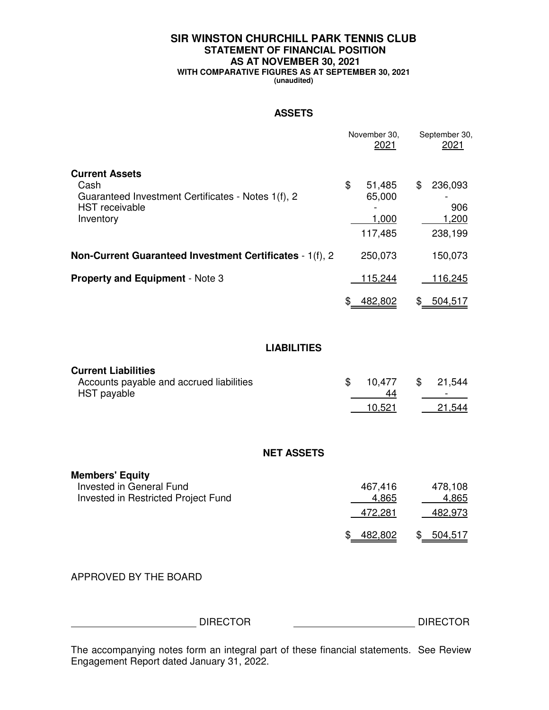# **SIR WINSTON CHURCHILL PARK TENNIS CLUB STATEMENT OF FINANCIAL POSITION AS AT NOVEMBER 30, 2021**

**WITH COMPARATIVE FIGURES AS AT SEPTEMBER 30, 2021**

**(unaudited)**

#### **ASSETS**

|                                                                                                                           | November 30,                      | September 30,<br>2021<br>2021                     |
|---------------------------------------------------------------------------------------------------------------------------|-----------------------------------|---------------------------------------------------|
| <b>Current Assets</b><br>Cash<br>Guaranteed Investment Certificates - Notes 1(f), 2<br><b>HST</b> receivable<br>Inventory | \$<br>51,485<br>65,000<br>117,485 | \$<br>236,093<br>906<br>1,200<br>1,000<br>238,199 |
| Non-Current Guaranteed Investment Certificates - 1(f), 2                                                                  | 250,073                           | 150,073                                           |
| <b>Property and Equipment - Note 3</b>                                                                                    | 115,244                           | <u>116,245</u>                                    |
|                                                                                                                           | \$ 482,802                        | \$ 504,517                                        |
|                                                                                                                           | <b>LIABILITIES</b>                |                                                   |
| <b>Current Liabilities</b><br>Accounts payable and accrued liabilities<br>HST payable                                     | \$<br>10,477<br>10,521            | \$<br>21,544<br>44<br>21,544                      |
|                                                                                                                           | <b>NET ASSETS</b>                 |                                                   |
| <b>Members' Equity</b><br>Invested in General Fund<br>Invested in Restricted Project Fund                                 | 467,416<br>472,281                | 478,108<br>4,865<br>4,865<br>482,973              |
|                                                                                                                           | \$ 482,802                        | \$ 504,517                                        |
| APPROVED BY THE BOARD                                                                                                     |                                   |                                                   |
| <b>DIRECTOR</b>                                                                                                           |                                   | <b>DIRECTOR</b>                                   |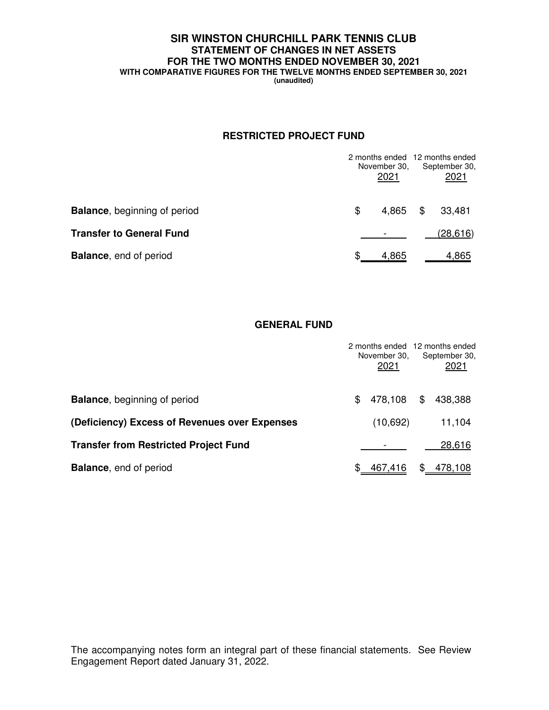## **SIR WINSTON CHURCHILL PARK TENNIS CLUB STATEMENT OF CHANGES IN NET ASSETS FOR THE TWO MONTHS ENDED NOVEMBER 30, 2021 WITH COMPARATIVE FIGURES FOR THE TWELVE MONTHS ENDED SEPTEMBER 30, 2021**

**(unaudited)**

## **RESTRICTED PROJECT FUND**

|                                     | November 30,<br>2021 | 2 months ended 12 months ended<br>September 30,<br>2021 |
|-------------------------------------|----------------------|---------------------------------------------------------|
| <b>Balance, beginning of period</b> | \$<br>4.865          | \$<br>33,481                                            |
| <b>Transfer to General Fund</b>     |                      | (28, 616)                                               |
| <b>Balance, end of period</b>       | 4.865                | 4,865                                                   |

#### **GENERAL FUND**

|                                               | November 30,<br>2021 | 2 months ended 12 months ended<br>September 30,<br>2021 |
|-----------------------------------------------|----------------------|---------------------------------------------------------|
| <b>Balance, beginning of period</b>           | \$<br>478,108        | \$<br>438,388                                           |
| (Deficiency) Excess of Revenues over Expenses | (10,692)             | 11,104                                                  |
| <b>Transfer from Restricted Project Fund</b>  |                      | 28,616                                                  |
| <b>Balance, end of period</b>                 | 467,416              | \$<br><u>478,108</u>                                    |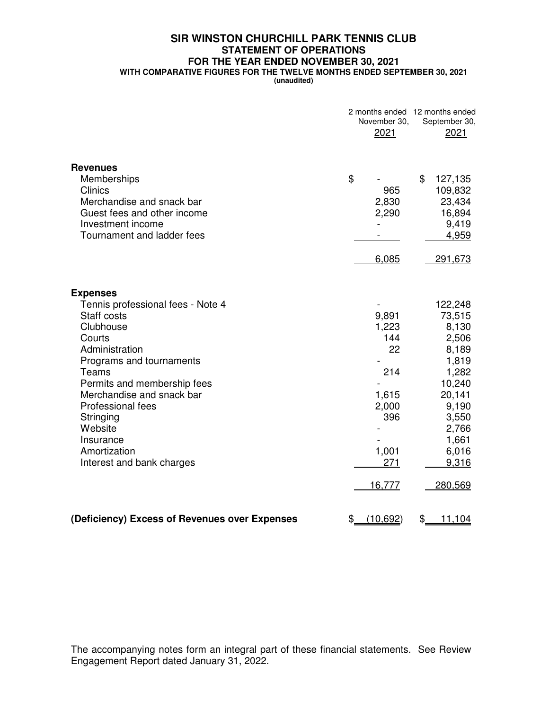# **SIR WINSTON CHURCHILL PARK TENNIS CLUB STATEMENT OF OPERATIONS FOR THE YEAR ENDED NOVEMBER 30, 2021**

**WITH COMPARATIVE FIGURES FOR THE TWELVE MONTHS ENDED SEPTEMBER 30, 2021**

**(unaudited)**

|                                                                                                                                                                                                                                                                                                                             | November 30,<br>2021                                                                  | 2 months ended 12 months ended<br>September 30,<br>2021                                                                                             |
|-----------------------------------------------------------------------------------------------------------------------------------------------------------------------------------------------------------------------------------------------------------------------------------------------------------------------------|---------------------------------------------------------------------------------------|-----------------------------------------------------------------------------------------------------------------------------------------------------|
| <b>Revenues</b><br>Memberships<br><b>Clinics</b><br>Merchandise and snack bar<br>Guest fees and other income<br>Investment income<br>Tournament and ladder fees                                                                                                                                                             | \$<br>965<br>2,830<br>2,290<br>6,085                                                  | \$<br>127,135<br>109,832<br>23,434<br>16,894<br>9,419<br>4,959<br>291,673                                                                           |
| <b>Expenses</b><br>Tennis professional fees - Note 4<br>Staff costs<br>Clubhouse<br>Courts<br>Administration<br>Programs and tournaments<br>Teams<br>Permits and membership fees<br>Merchandise and snack bar<br><b>Professional fees</b><br>Stringing<br>Website<br>Insurance<br>Amortization<br>Interest and bank charges | 9,891<br>1,223<br>144<br>22<br>214<br>1,615<br>2,000<br>396<br>1,001<br>271<br>16,777 | 122,248<br>73,515<br>8,130<br>2,506<br>8,189<br>1,819<br>1,282<br>10,240<br>20,141<br>9,190<br>3,550<br>2,766<br>1,661<br>6,016<br>9,316<br>280,569 |
| (Deficiency) Excess of Revenues over Expenses                                                                                                                                                                                                                                                                               | \$<br>(10, 692)                                                                       | \$<br>11,104                                                                                                                                        |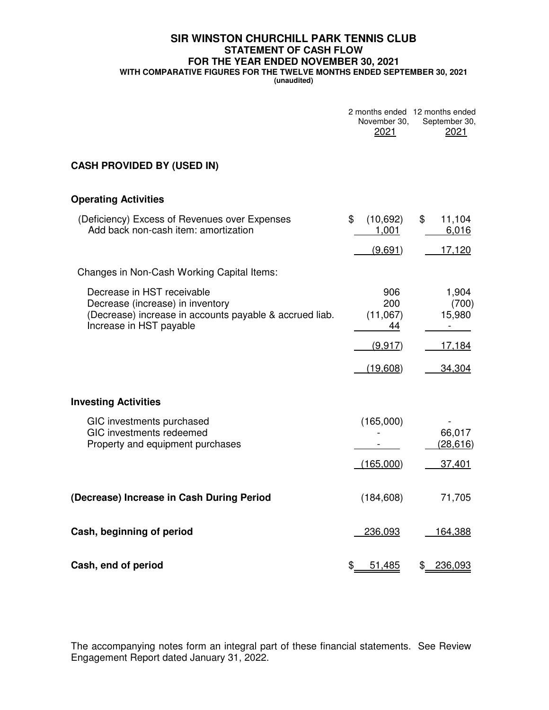## **SIR WINSTON CHURCHILL PARK TENNIS CLUB STATEMENT OF CASH FLOW FOR THE YEAR ENDED NOVEMBER 30, 2021 WITH COMPARATIVE FIGURES FOR THE TWELVE MONTHS ENDED SEPTEMBER 30, 2021**

**(unaudited)**

|                                                                                                                                                      | November 30,<br>2021         | 2 months ended 12 months ended<br>September 30,<br>2021 |
|------------------------------------------------------------------------------------------------------------------------------------------------------|------------------------------|---------------------------------------------------------|
| <b>CASH PROVIDED BY (USED IN)</b>                                                                                                                    |                              |                                                         |
| <b>Operating Activities</b>                                                                                                                          |                              |                                                         |
| (Deficiency) Excess of Revenues over Expenses<br>Add back non-cash item: amortization                                                                | \$<br>(10,692)<br>1,001      | \$<br>11,104<br>6,016                                   |
|                                                                                                                                                      | (9,691)                      | 17,120                                                  |
| Changes in Non-Cash Working Capital Items:                                                                                                           |                              |                                                         |
| Decrease in HST receivable<br>Decrease (increase) in inventory<br>(Decrease) increase in accounts payable & accrued liab.<br>Increase in HST payable | 906<br>200<br>(11,067)<br>44 | 1,904<br>(700)<br>15,980<br>$\overline{\phantom{0}}$    |
|                                                                                                                                                      | (9.917)                      | 17,184                                                  |
|                                                                                                                                                      | (19,608)                     | 34,304                                                  |
| <b>Investing Activities</b>                                                                                                                          |                              |                                                         |
| GIC investments purchased<br>GIC investments redeemed<br>Property and equipment purchases                                                            | (165,000)                    | 66,017<br>(28, 616)                                     |
|                                                                                                                                                      | (165,000)                    | 37,401                                                  |
| (Decrease) Increase in Cash During Period                                                                                                            | (184, 608)                   | 71,705                                                  |
| Cash, beginning of period                                                                                                                            | 236,093                      | 164,388                                                 |
| Cash, end of period                                                                                                                                  | \$<br>51,485                 | \$<br>236,093                                           |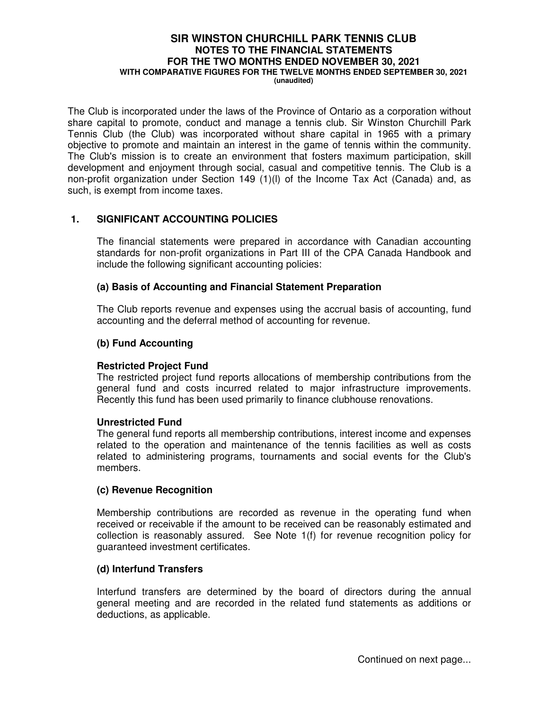#### **SIR WINSTON CHURCHILL PARK TENNIS CLUB NOTES TO THE FINANCIAL STATEMENTS FOR THE TWO MONTHS ENDED NOVEMBER 30, 2021 WITH COMPARATIVE FIGURES FOR THE TWELVE MONTHS ENDED SEPTEMBER 30, 2021 (unaudited)**

The Club is incorporated under the laws of the Province of Ontario as a corporation without share capital to promote, conduct and manage a tennis club. Sir Winston Churchill Park Tennis Club (the Club) was incorporated without share capital in 1965 with a primary objective to promote and maintain an interest in the game of tennis within the community. The Club's mission is to create an environment that fosters maximum participation, skill development and enjoyment through social, casual and competitive tennis. The Club is a non-profit organization under Section 149 (1)(l) of the Income Tax Act (Canada) and, as such, is exempt from income taxes.

## **1. SIGNIFICANT ACCOUNTING POLICIES**

The financial statements were prepared in accordance with Canadian accounting standards for non-profit organizations in Part III of the CPA Canada Handbook and include the following significant accounting policies:

#### **(a) Basis of Accounting and Financial Statement Preparation**

The Club reports revenue and expenses using the accrual basis of accounting, fund accounting and the deferral method of accounting for revenue.

## **(b) Fund Accounting**

#### **Restricted Project Fund**

The restricted project fund reports allocations of membership contributions from the general fund and costs incurred related to major infrastructure improvements. Recently this fund has been used primarily to finance clubhouse renovations.

#### **Unrestricted Fund**

The general fund reports all membership contributions, interest income and expenses related to the operation and maintenance of the tennis facilities as well as costs related to administering programs, tournaments and social events for the Club's members.

#### **(c) Revenue Recognition**

Membership contributions are recorded as revenue in the operating fund when received or receivable if the amount to be received can be reasonably estimated and collection is reasonably assured. See Note 1(f) for revenue recognition policy for guaranteed investment certificates.

#### **(d) Interfund Transfers**

Interfund transfers are determined by the board of directors during the annual general meeting and are recorded in the related fund statements as additions or deductions, as applicable.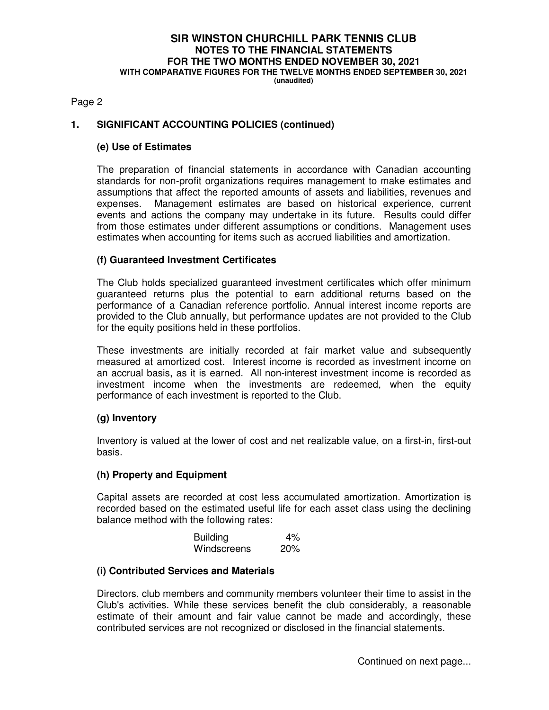# **SIR WINSTON CHURCHILL PARK TENNIS CLUB NOTES TO THE FINANCIAL STATEMENTS FOR THE TWO MONTHS ENDED NOVEMBER 30, 2021 WITH COMPARATIVE FIGURES FOR THE TWELVE MONTHS ENDED SEPTEMBER 30, 2021**

**(unaudited)**

#### Page 2

## **1. SIGNIFICANT ACCOUNTING POLICIES (continued)**

## **(e) Use of Estimates**

The preparation of financial statements in accordance with Canadian accounting standards for non-profit organizations requires management to make estimates and assumptions that affect the reported amounts of assets and liabilities, revenues and expenses. Management estimates are based on historical experience, current events and actions the company may undertake in its future. Results could differ from those estimates under different assumptions or conditions. Management uses estimates when accounting for items such as accrued liabilities and amortization.

## **(f) Guaranteed Investment Certificates**

The Club holds specialized guaranteed investment certificates which offer minimum guaranteed returns plus the potential to earn additional returns based on the performance of a Canadian reference portfolio. Annual interest income reports are provided to the Club annually, but performance updates are not provided to the Club for the equity positions held in these portfolios.

These investments are initially recorded at fair market value and subsequently measured at amortized cost. Interest income is recorded as investment income on an accrual basis, as it is earned. All non-interest investment income is recorded as investment income when the investments are redeemed, when the equity performance of each investment is reported to the Club.

## **(g) Inventory**

Inventory is valued at the lower of cost and net realizable value, on a first-in, first-out basis.

#### **(h) Property and Equipment**

Capital assets are recorded at cost less accumulated amortization. Amortization is recorded based on the estimated useful life for each asset class using the declining balance method with the following rates:

| <b>Building</b> | 4%  |
|-----------------|-----|
| Windscreens     | 20% |

#### **(i) Contributed Services and Materials**

Directors, club members and community members volunteer their time to assist in the Club's activities. While these services benefit the club considerably, a reasonable estimate of their amount and fair value cannot be made and accordingly, these contributed services are not recognized or disclosed in the financial statements.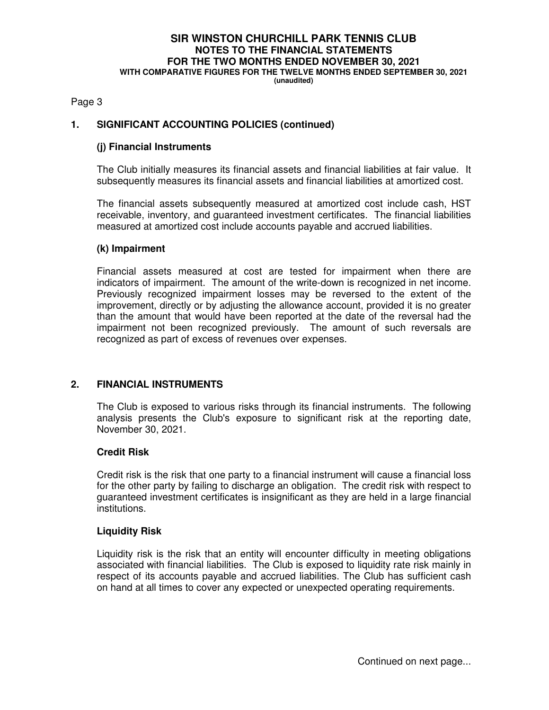# **SIR WINSTON CHURCHILL PARK TENNIS CLUB NOTES TO THE FINANCIAL STATEMENTS FOR THE TWO MONTHS ENDED NOVEMBER 30, 2021 WITH COMPARATIVE FIGURES FOR THE TWELVE MONTHS ENDED SEPTEMBER 30, 2021**

**(unaudited)**

Page 3

## **1. SIGNIFICANT ACCOUNTING POLICIES (continued)**

#### **(j) Financial Instruments**

The Club initially measures its financial assets and financial liabilities at fair value. It subsequently measures its financial assets and financial liabilities at amortized cost.

The financial assets subsequently measured at amortized cost include cash, HST receivable, inventory, and guaranteed investment certificates. The financial liabilities measured at amortized cost include accounts payable and accrued liabilities.

#### **(k) Impairment**

Financial assets measured at cost are tested for impairment when there are indicators of impairment. The amount of the write-down is recognized in net income. Previously recognized impairment losses may be reversed to the extent of the improvement, directly or by adjusting the allowance account, provided it is no greater than the amount that would have been reported at the date of the reversal had the impairment not been recognized previously. The amount of such reversals are recognized as part of excess of revenues over expenses.

## **2. FINANCIAL INSTRUMENTS**

The Club is exposed to various risks through its financial instruments. The following analysis presents the Club's exposure to significant risk at the reporting date, November 30, 2021.

#### **Credit Risk**

Credit risk is the risk that one party to a financial instrument will cause a financial loss for the other party by failing to discharge an obligation. The credit risk with respect to guaranteed investment certificates is insignificant as they are held in a large financial institutions.

#### **Liquidity Risk**

Liquidity risk is the risk that an entity will encounter difficulty in meeting obligations associated with financial liabilities. The Club is exposed to liquidity rate risk mainly in respect of its accounts payable and accrued liabilities. The Club has sufficient cash on hand at all times to cover any expected or unexpected operating requirements.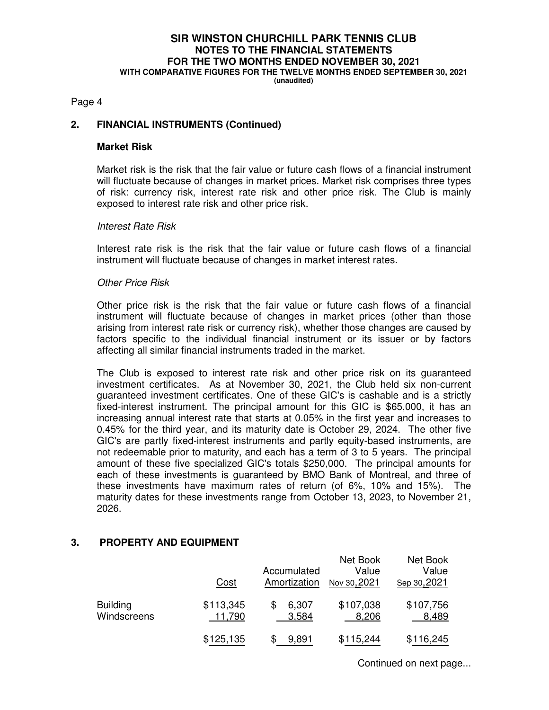# **SIR WINSTON CHURCHILL PARK TENNIS CLUB NOTES TO THE FINANCIAL STATEMENTS FOR THE TWO MONTHS ENDED NOVEMBER 30, 2021 WITH COMPARATIVE FIGURES FOR THE TWELVE MONTHS ENDED SEPTEMBER 30, 2021**

**(unaudited)**

#### Page 4

## **2. FINANCIAL INSTRUMENTS (Continued)**

#### **Market Risk**

Market risk is the risk that the fair value or future cash flows of a financial instrument will fluctuate because of changes in market prices. Market risk comprises three types of risk: currency risk, interest rate risk and other price risk. The Club is mainly exposed to interest rate risk and other price risk.

#### Interest Rate Risk

Interest rate risk is the risk that the fair value or future cash flows of a financial instrument will fluctuate because of changes in market interest rates.

#### Other Price Risk

Other price risk is the risk that the fair value or future cash flows of a financial instrument will fluctuate because of changes in market prices (other than those arising from interest rate risk or currency risk), whether those changes are caused by factors specific to the individual financial instrument or its issuer or by factors affecting all similar financial instruments traded in the market.

The Club is exposed to interest rate risk and other price risk on its guaranteed investment certificates. As at November 30, 2021, the Club held six non-current guaranteed investment certificates. One of these GIC's is cashable and is a strictly fixed-interest instrument. The principal amount for this GIC is \$65,000, it has an increasing annual interest rate that starts at 0.05% in the first year and increases to 0.45% for the third year, and its maturity date is October 29, 2024. The other five GIC's are partly fixed-interest instruments and partly equity-based instruments, are not redeemable prior to maturity, and each has a term of 3 to 5 years. The principal amount of these five specialized GIC's totals \$250,000. The principal amounts for each of these investments is guaranteed by BMO Bank of Montreal, and three of these investments have maximum rates of return (of 6%, 10% and 15%). The maturity dates for these investments range from October 13, 2023, to November 21, 2026.

#### **3. PROPERTY AND EQUIPMENT**

|                                | Cost                | Accumulated<br>Amortization | Net Book<br>Value<br>Nov 30, 2021 | Net Book<br>Value<br>Sep 30, 2021 |
|--------------------------------|---------------------|-----------------------------|-----------------------------------|-----------------------------------|
| <b>Building</b><br>Windscreens | \$113,345<br>11,790 | 6,307<br>3,584              | \$107,038<br>8,206                | \$107,756<br>8,489                |
|                                | \$125,135           | 9.891                       | \$115,244                         | \$116,245                         |

Continued on next page...